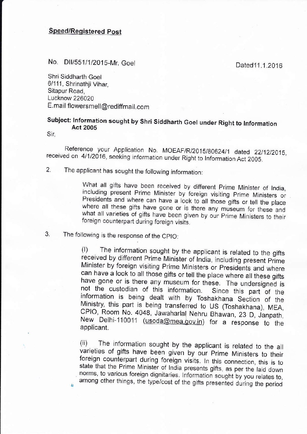## Speed/Reqistered post

## No. DII/551/1/2015-Mr. Goel Dated11.1.2016

Shri Siddharth Goel 6/111, Shrinathji Vihar, Sitapur Road, Lucknow 226020 E.mail flowersmell@rediffmail.com

## Subject: lnform^ation sought by Shri Siddharth Goel under Right to lnformation Act <sup>2005</sup>

Sir,

Reference your Application No. MOEAF/R/2015/80624/1 dated 22/12/2015, received on 4/1/2016, seeking information under Right to Information Act 2005.

2. The applicant has sought the following information:

What all gifts have been received by different Prime Minister of India, including present Prime Minister by foreign visiting Prime Ministers or Presidents and where can have a look to all those gifts or tell the place wher

3. The following is the response of the CPIO:

(l) The information sought by the applicant is retated to the gifts received by different prime Minister of india, including present prime Minister by foreign visiting Prime Ministers or Presidents and where<br>can have a look to all those gifts or tell the place where all these gifts have gone or is there any museum for these. The undersigned is<br>not the custodian of this information. Since this part of the<br>information is being dealt with by Toshakhana Section of the<br>Ministry, this part is being transfe New Delhi-110011 (usoda@mea.gov.in) for a response to the applicant.

(ii) .<br>ioti The information sought by the applicant is related to the <sup>a</sup> varieties of gifts have been given by our Prime Ministers to their foreign counterpart during foreign visits. In this connection, this is to state that the Prime Minister of India presents gifts, as per the laid down norms, to various foreign dignitaries. Information sought by you relates to, ,, among other things, the type/cost of the gifts presented during the period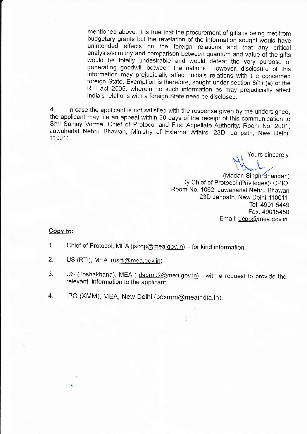mentioned above. lt is true that the procurement of gjfts is being met from budgetary grants but the revelation of the information sought would have unintended effects on the foreign relations and that any critical analysis/scrutiny and comparison between quantum and value of the gifts would be totally undesirable and would defeat the very purpose of generating goodwill between the nations. However, disclosure of this information may prejudicially affect India's relations with the concerned foreign State. Exemption is therefore, sought under section 8(1) (a) of the RTI act 2005, wherein no such information as may prejudiciaily affect lndia's relations with a foreign State need be disclosed.

4. ln case the applicant is not satisfied with the response given by the undersigned, the applicant may file an appeal within 30 days of the receipt of this communication to Shri Sanjay Verma, Chief of Protocol and First Appellate Authority, Room No. 2001, Jawaharlal Nehru Bhawan, Ministry of External Affairs, 23D, Janpath, New Delhi-110011.

Yours sincerely,

'\\<br>\\\nnle (Madan Singh-Bhandari) Dy Chief of Protocol (Privileges)/ CPIO Room No. 1062, Jawaharlal Nehru Bhawan 23D Janpath, New Delhi-110011 Tel: 4901 5449 Fax: 49015450 Email: dcpp@mea.gov.in

## Copv to:

A,

- 1. Chief of Protocol, MEA (jscop@mea.gov.in) for kind information.
- 2. US (RTI), MEA (usrti@mea.gov.in)
- 3. US (Toshakhana), MEA ( dsprop2@mea.gov.in) with a request to provide the relevant information to the applicant.
- 4. PO (XMM), MEA, New Delhi (poxmm@meaindia.in).